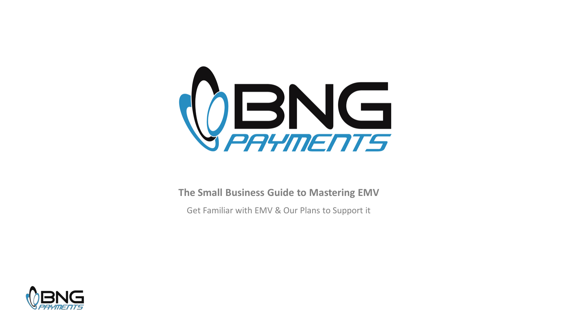

**The Small Business Guide to Mastering EMV**

Get Familiar with EMV & Our Plans to Support it

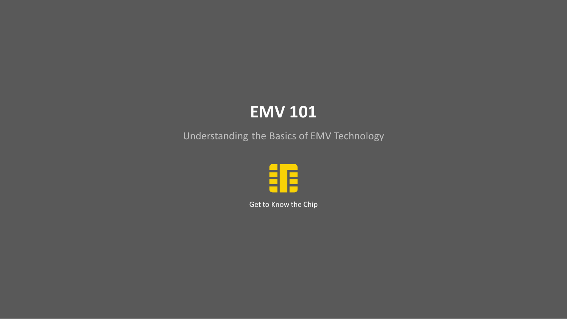# **EMV 101**

Understanding the Basics of EMV Technology



Get to Know the Chip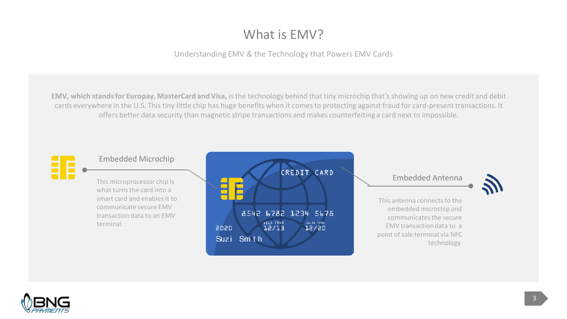# What is EMV?

Understanding EMV & the Technology that Powers EMV Cards

**EMV, which stands for Europay, MasterCard and Visa,** is the technology behind that tiny microchip that's showing up on new credit and debit cards everywhere in the U.S. This tiny little chip has huge benefits when it comes to protecting against fraud for card-present transactions. It offers better data security than magnetic stripe transactions and makes counterfeiting a card next to impossible.



#### Embedded Microchip

what turns the card into a smart card and enables it to communicate secure EMV transaction data to an EMV terminal.



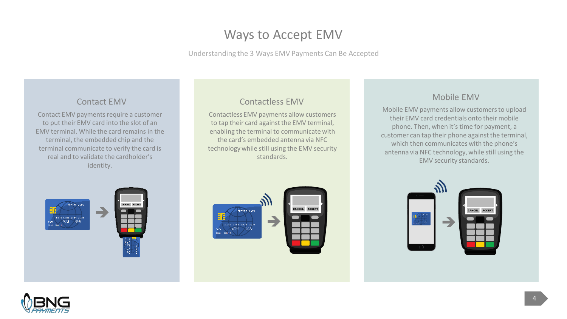# Ways to Accept EMV

Understanding the 3 Ways EMV Payments Can Be Accepted

#### Contact EMV

Contact EMV payments require a customer to put their EMV card into the slot of an EMV terminal. While the card remains in the terminal, the embedded chip and the terminal communicate to verify the card is real and to validate the cardholder's identity.

## Contactless EMV

Contactless EMV payments allow customers to tap their card against the EMV terminal, enabling the terminal to communicate with the card's embedded antenna via NFC technology while still using the EMV security standards.



## Mobile EMV

Mobile EMV payments allow customers to upload their EMV card credentials onto their mobile phone. Then, when it's time for payment, a customer can tap their phone against the terminal, which then communicates with the phone's antenna via NFC technology, while still using the EMV security standards.



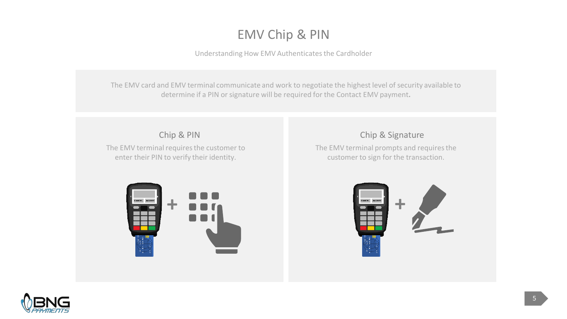# EMV Chip & PIN

Understanding How EMV Authenticates the Cardholder

The EMV card and EMV terminal communicate and work to negotiate the highest level of security available to determine if a PIN or signature will be required for the Contact EMV payment**.**

Chip & PIN

The EMV terminal requires the customer to enter their PIN to verify their identity.

## Chip & Signature

The EMV terminal prompts and requires the customer to sign for the transaction.





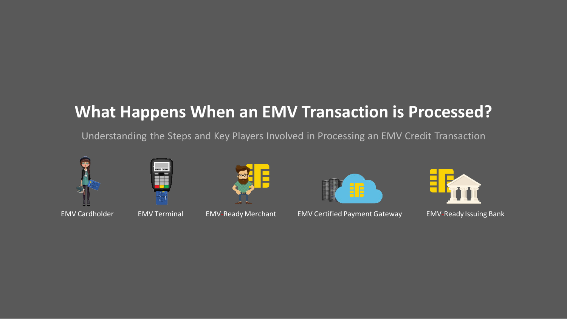# **What Happens When an EMV Transaction is Processed?**

Understanding the Steps and Key Players Involved in Processing an EMV Credit Transaction









EMV Cardholder EMV Terminal EMV-Ready Merchant EMV Certified Payment Gateway EMV-Ready Issuing Bank

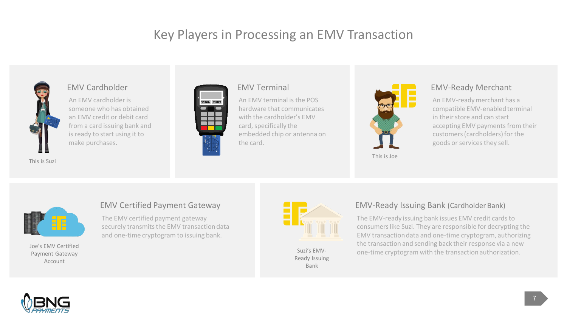# Key Players in Processing an EMV Transaction



#### EMV Cardholder

An EMV cardholder is someone who has obtained an EMV credit or debit card from a card issuing bank and is ready to start using it to make purchases.



#### EMV Terminal

An EMV terminal is the POS hardware that communicates with the cardholder's EMV card, specifically the embedded chip or antenna on the card.



This is Joe

#### EMV-Ready Merchant

An EMV-ready merchant has a compatible EMV-enabled terminal in their store and can start accepting EMV payments from their customers (cardholders) for the goods or services they sell.



Joe's EMV Certified Payment Gateway Account

#### EMV Certified Payment Gateway

The EMV certified payment gateway securely transmits the EMV transaction data and one-time cryptogram to issuing bank.



Ready Issuing Bank

#### EMV-Ready Issuing Bank (Cardholder Bank)

The EMV-ready issuing bank issues EMV credit cards to consumers like Suzi. They are responsible for decrypting the EMV transaction data and one-time cryptogram, authorizing the transaction and sending back their response via a new Suzi's EMV- one-time cryptogram with the transaction authorization.

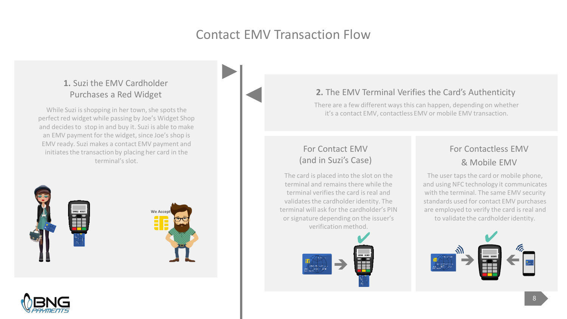# Contact EMV Transaction Flow

## **1.** Suzi the EMV Cardholder Purchases a Red Widget

While Suzi is shopping in her town, she spots the perfect red widget while passing by Joe's Widget Shop and decides to stop in and buy it. Suzi is able to make an EMV payment for the widget, since Joe's shop is EMV ready. Suzi makes a contact EMV payment and initiates the transaction by placing her card in the terminal's slot.





## **2.** The EMV Terminal Verifies the Card's Authenticity

There are a few different ways this can happen, depending on whether it's a contact EMV, contactless EMV or mobile EMV transaction.

## For Contact EMV (and in Suzi's Case)

The card is placed into the slot on the terminal and remains there while the terminal verifies the card is real and validates the cardholder identity. The terminal will ask for the cardholder's PIN or signature depending on the issuer's verification method.



## For Contactless EMV & Mobile EMV

The user taps the card or mobile phone, and using NFC technology it communicates with the terminal. The same EMV security standards used for contact EMV purchases are employed to verify the card is real and to validate the cardholder identity.

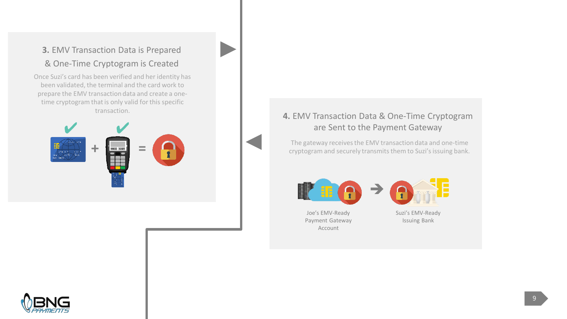## **3.** EMV Transaction Data is Prepared & One-Time Cryptogram is Created

Once Suzi's card has been verified and her identity has been validated, the terminal and the card work to prepare the EMV transaction data and create a onetime cryptogram that is only valid for this specific



# transaction. **4.** EMV Transaction Data & One-Time Cryptogram are Sent to the Payment Gateway

The gateway receives the EMV transaction data and one-time cryptogram and securely transmits them to Suzi's issuing bank.

 $\rightarrow$ 





Joe's EMV-Ready Payment Gateway Account

Suzi's EMV-Ready Issuing Bank

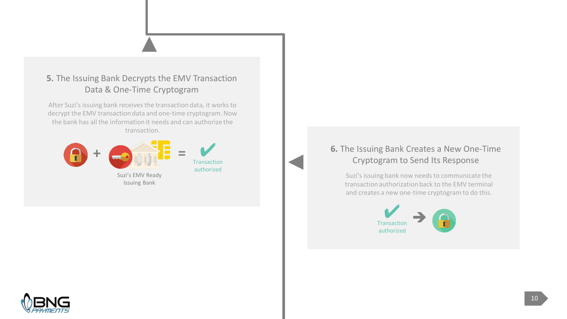## **5.** The Issuing Bank Decrypts the EMV Transaction Data & One-Time Cryptogram

After Suzi's issuing bank receives the transaction data, it works to decrypt the EMV transaction data and one-time cryptogram. Now the bank has all the information it needs and can authorize the transaction.



## **6.** The Issuing Bank Creates a New One-Time Cryptogram to Send Its Response

Suzi's issuing bank now needs to communicate the transaction authorization back to the EMV terminal and creates a new one-time cryptogram to do this.



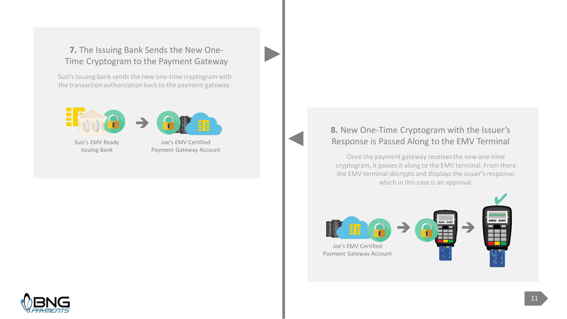## **7.** The Issuing Bank Sends the New One-Time Cryptogram to the Payment Gateway

Suzi's issuing bank sends the new one-time cryptogram with the transaction authorization back to the payment gateway.





Suzi's EMV Ready Issuing Bank

Joe's EMV Certified Payment Gateway Account



Once the payment gateway receives the new one-time cryptogram, it passes it along to the EMV terminal. From there the EMV terminal decrypts and displays the issuer's response, which in this case is an approval.



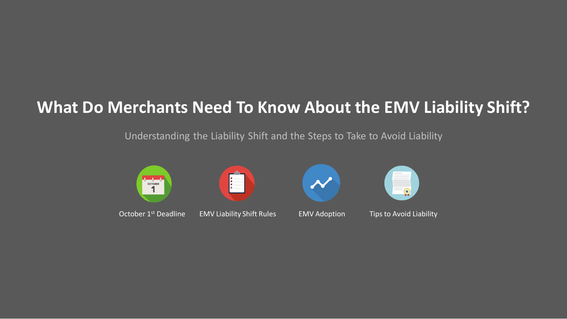# **What Do Merchants Need To Know About the EMV Liability Shift?**

## Understanding the Liability Shift and the Steps to Take to Avoid Liability

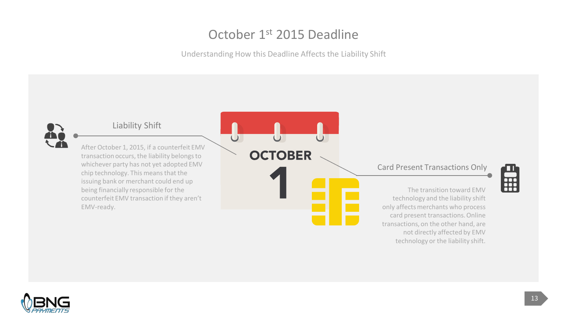# October 1st 2015 Deadline

Understanding How this Deadline Affects the Liability Shift

**OCTOBER** 

 $\overline{\cup}$ 



#### Liability Shift

After October 1, 2015, if a counterfeit EMV transaction occurs, the liability belongs to whichever party has not yet adopted EMV chip technology. This means that the issuing bank or merchant could end up being financially responsible for the counterfeit EMV transaction if they aren't EMV-ready.

#### Card Present Transactions Only



The transition toward EMV technology and the liability shift only affects merchants who process card present transactions. Online transactions, on the other hand, are not directly affected by EMV technology or the liability shift.

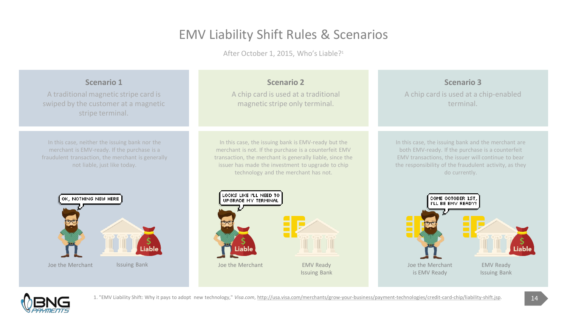# EMV Liability Shift Rules & Scenarios

After October 1, 2015, Who's Liable?<sup>1</sup>



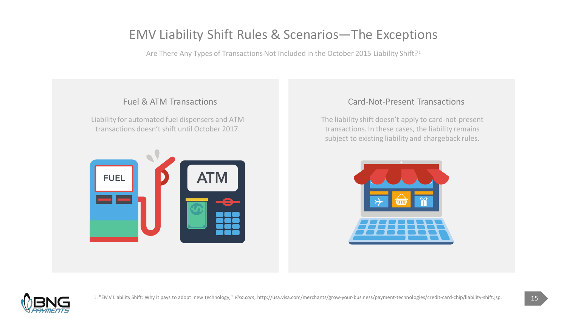# EMV Liability Shift Rules & Scenarios—The Exceptions

Are There Any Types of Transactions Not Included in the October 2015 Liability Shift?<sup>1</sup>

## Fuel & ATM Transactions

Liability for automated fuel dispensers and ATM transactions doesn't shift until October 2017.



## Card-Not-Present Transactions

The liability shift doesn't apply to card-not-present transactions. In these cases, the liability remains subject to existing liability and chargeback rules.



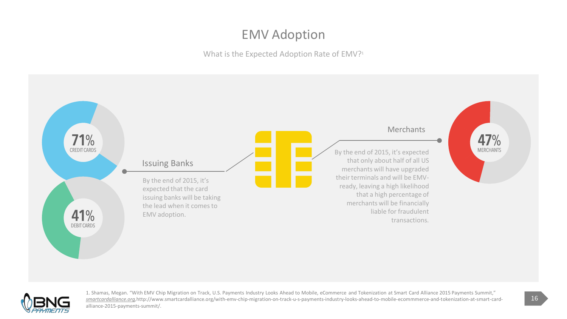# EMV Adoption

What is the Expected Adoption Rate of EMV?<sup>1</sup>





1. Shamas, Megan. "With EMV Chip Migration on Track, U.S. Payments Industry Looks Ahead to Mobile, eCommerce and Tokenization at Smart Card Alliance 2015 Payments Summit," *smartcardalliance.org,*http://www.smartcardalliance.org/with-emv-chip-migration-on-track-u-s-payments-industry-looks-ahead-to-mobile-ecommmerce-and-tokenization-at-smart-cardalliance-2015-payments-summit/.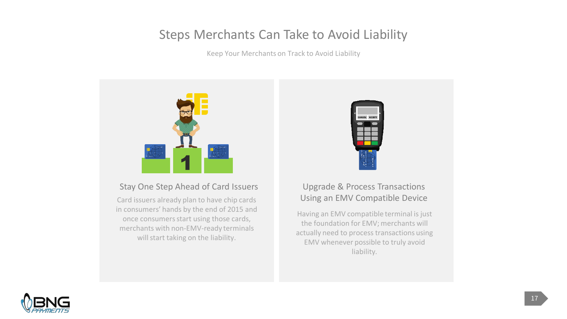# Steps Merchants Can Take to Avoid Liability

Keep Your Merchants on Track to Avoid Liability



## Stay One Step Ahead of Card Issuers

Card issuers already plan to have chip cards in consumers' hands by the end of 2015 and once consumers start using those cards, merchants with non-EMV-ready terminals will start taking on the liability.



## Upgrade & Process Transactions Using an EMV Compatible Device

Having an EMV compatible terminal is just the foundation for EMV; merchants will actually need to process transactions using EMV whenever possible to truly avoid liability.